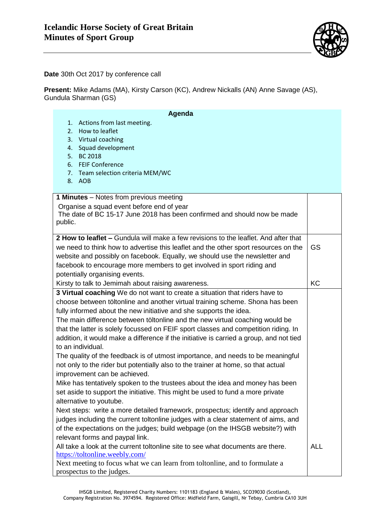

**Date** 30th Oct 2017 by conference call

**Present:** Mike Adams (MA), Kirsty Carson (KC), Andrew Nickalls (AN) Anne Savage (AS), Gundula Sharman (GS)

| Agenda<br>Actions from last meeting.<br>1.                                                                   |            |
|--------------------------------------------------------------------------------------------------------------|------------|
| 2. How to leaflet                                                                                            |            |
| 3. Virtual coaching                                                                                          |            |
| 4. Squad development                                                                                         |            |
| 5. BC 2018                                                                                                   |            |
| 6. FEIF Conference                                                                                           |            |
| 7. Team selection criteria MEM/WC                                                                            |            |
| 8. AOB                                                                                                       |            |
|                                                                                                              |            |
| 1 Minutes - Notes from previous meeting                                                                      |            |
| Organise a squad event before end of year                                                                    |            |
| The date of BC 15-17 June 2018 has been confirmed and should now be made                                     |            |
| public.                                                                                                      |            |
| 2 How to leaflet – Gundula will make a few revisions to the leaflet. And after that                          |            |
| we need to think how to advertise this leaflet and the other sport resources on the                          | <b>GS</b>  |
| website and possibly on facebook. Equally, we should use the newsletter and                                  |            |
| facebook to encourage more members to get involved in sport riding and                                       |            |
| potentially organising events.                                                                               |            |
| Kirsty to talk to Jemimah about raising awareness.                                                           | KC         |
| 3 Virtual coaching We do not want to create a situation that riders have to                                  |            |
| choose between töltonline and another virtual training scheme. Shona has been                                |            |
| fully informed about the new initiative and she supports the idea.                                           |            |
|                                                                                                              |            |
| The main difference between töltonline and the new virtual coaching would be                                 |            |
| that the latter is solely focussed on FEIF sport classes and competition riding. In                          |            |
| addition, it would make a difference if the initiative is carried a group, and not tied<br>to an individual. |            |
|                                                                                                              |            |
| The quality of the feedback is of utmost importance, and needs to be meaningful                              |            |
| not only to the rider but potentially also to the trainer at home, so that actual                            |            |
| improvement can be achieved.                                                                                 |            |
| Mike has tentatively spoken to the trustees about the idea and money has been                                |            |
| set aside to support the initiative. This might be used to fund a more private                               |            |
| alternative to youtube.                                                                                      |            |
| Next steps: write a more detailed framework, prospectus; identify and approach                               |            |
| judges including the current toltonline judges with a clear statement of aims, and                           |            |
| of the expectations on the judges; build webpage (on the IHSGB website?) with                                |            |
| relevant forms and paypal link.                                                                              |            |
| All take a look at the current toltonline site to see what documents are there.                              | <b>ALL</b> |
| https://toltonline.weebly.com/                                                                               |            |
| Next meeting to focus what we can learn from toltonline, and to formulate a                                  |            |
| prospectus to the judges.                                                                                    |            |